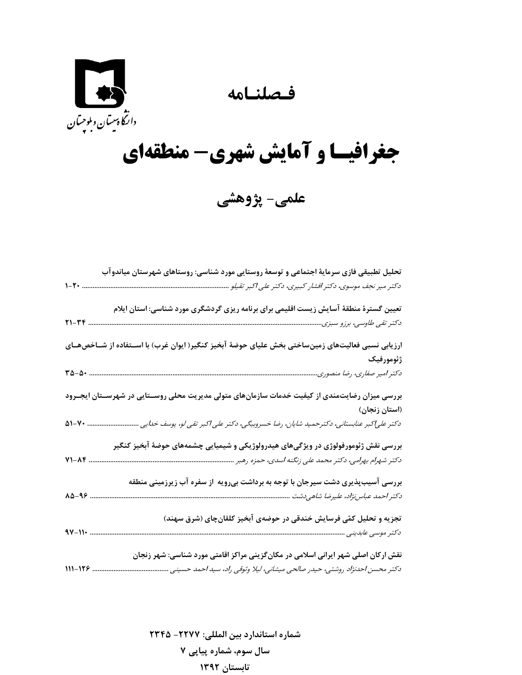## **فـصلنـامه**



## **جغرافيـا و آمايش شهري- منطقهاي**

**علمي- پژوهشي** 

|                | تحلیل تطبیقی فازی سرمایهٔ اجتماعی و توسعهٔ روستایی مورد شناسی: روستاهای شهرستان میاندوآب             |
|----------------|------------------------------------------------------------------------------------------------------|
|                | دکتر میر نجف موسوی، دکتر افشار کبیری، دکتر علی اکبر تقیلو                                            |
|                | تعیین گسترهٔ منطقهٔ آسایش زیست اقلیمی برای برنامه ریزی گردشگری مورد شناسی: استان ایلام               |
| $Y1 - YY$      |                                                                                                      |
|                | ارزیابی نسبی فعالیتهای زمینساختی بخش علیای حوضهٔ آبخیز کنگیر( ایوان غرب) با اســتفاده از شــاخصهــای |
|                | ژئومورفیک                                                                                            |
|                |                                                                                                      |
|                | بررسی میزان رضایتمندی از کیفیت خدمات سازمانهای متولی مدیریت محلی روســتایی در شهرســتان ایجــرود     |
|                | (استان زنجان)                                                                                        |
| $\Delta 1 - Y$ | دکتر علی کبر عنابستانی، دکترحمید شایان، رضا خسروبیگی، دکتر علی کبر تقی لو، یوسف خدایی                |
|                | بررسی نقش ژئومورفولوژی در ویژگیهای هیدرولوژیکی و شیمیایی چشمههای حوضهٔ آبخیز کنگیر                   |
| 71-14          | دکتر شهرام بهرامی، دکتر محمد علی زنگنه اسدی، حمزه رهبر                                               |
|                | بررسی آسیبپذیری دشت سیرجان با توجه به برداشت بیرویه آز سفره آب زیرزمینی منطقه                        |
| 88-48          |                                                                                                      |
|                | تجزیه و تحلیل کمّی فرسایش خندقی در حوضهی آبخیز کلقانچای (شرق سهند)                                   |
| $4V - 11$      | دکتر موسی عابدینی                                                                                    |
|                | نقش ارکان اصلی شهر ایرانی اسلامی در مکانگزینی مراکز اقامتی مورد شناسی: شهر زنجان                     |
| $111 - 179$ .  | دکتر محسن احدنژاد روشتی، حیدر صالحی میشانی، لیلا وثوقی راد، سید احمد حسینی                           |
|                |                                                                                                      |

**شماره استاندارد بين المللي: -2277 2345 سال سوم، شماره پياپي 7 تابستان 1392**